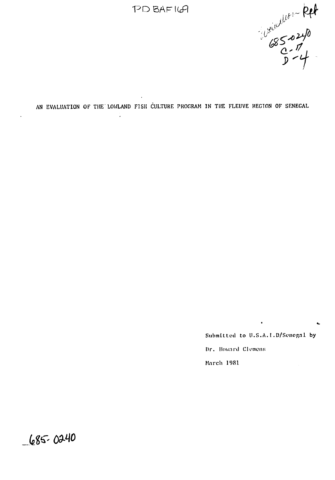$P$  $D$   $BAF$  $169$ 



AN EVALUATION OF THE LOWLAND FISH CULTURE PROGRAM IN THE FLEUVE REGION OF SENEGAL

÷.

Submitted to U.S.A.I.D/Senegal by Dr. Howard Clemens March 1981

 $-685 - 0240$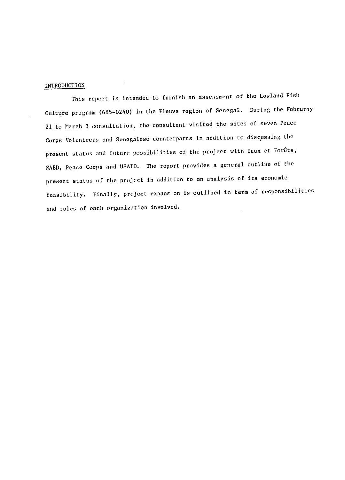## INTRODUCTION

This report is intended to furnish an assessment of the Lowland Fish Culture program (685-0240) in the Fleuve region of Senegal. During the Februray 21 to March 3 consultation, the consultant visited the sites of seven Peace Corps Volunteers and Senegalese counterparts In addition to discussing the present status and future possibilities of the project with Eaux et Forêts, FAED, Peace Corps and USAID. The report provides a general outline of the present status of the project in addition to an analysis of its economic feasibility. Finally, project expans on is outlined in term of responsibilities and roles of each organization involved.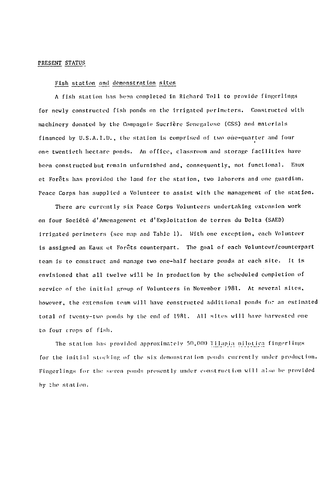### **PRESENT STATUS**

#### Fish station and demonstration sites

A fish station has been completed in Richard Toll to provide fingerlings for newly constructed fish ponds on the irrigated perimeters. Constructed with machinery donated by the Compagnie Sucrière Senegalese (CSS) and materials financed by U.S.A.I.D., the station is comprised of two one-quarter and four one twentieth hectare ponds. An office, classroom and storage facilities have been constructed but remain unfurnished and, consequently, not functional. Eaux et Forets has provided the land for the station, two laborers and one guardian. Peace Corps has supplied a Volunteer to assist with the management of the station.

There are currently six Peace Corps Volunteers undertaking extension work on four **Soci6t** d'Amenagement et d'Exploltation de terres du Delta **(SAED)**  irrigated perimeters (see map and Table **1).** With one exception, each Volunteer is assigned an Eaux et Forêts counterpart. The goal of each Volunteer/counterpart team is to construct and manage two one-half hectare ponds at each site. it is envisioned that all twelve will he in production by the scheduled completion of service of the initial group of Volunteers in November 1981. At several sites, however, the extension team will have constructed additional ponds for an estinated total of twenty-two ponds by the end of 1981. All sites will have harvested one to four crops of fish.

The station has provided approximately 50,000 Tilapia nilotica fingerlings for the initial stocking of the six demonstration ponds currently under production. Fingerlings for the seven ponds presently under construction will also be provided **by** the station.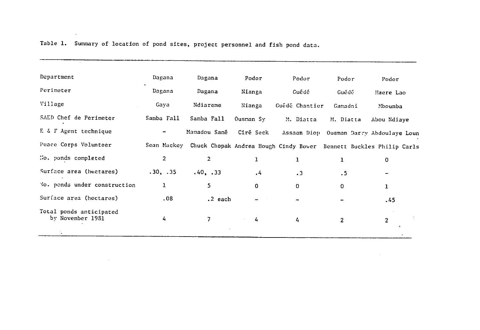| Department                                  | Dagana         | Dagana       | Podor        | Podor          |                |                                                                                |  |
|---------------------------------------------|----------------|--------------|--------------|----------------|----------------|--------------------------------------------------------------------------------|--|
|                                             |                |              |              |                | Podor          | Podor                                                                          |  |
| Perimeter                                   | Dagana         | Dagana       | Nianga       | Guédé          | Guédé          | Haere Lao                                                                      |  |
| Village                                     | Gaya           | Ndiareme     | Nianga       | Guédé Chantier | Gamadni        | Mboumba                                                                        |  |
| SAED Chef de Perimeter                      | Samba Fall     | Samba Fall   | Ousnan Sy    | M. Diatta      |                | Abou Ndiaye                                                                    |  |
| E & F Agent technique                       | $\hbox{ }$     | Mamadou Sané | Ciré Seck    |                |                | Assaan Diop Ousman Darry Abdoulaye Loun                                        |  |
| Peace Corps Volunteer                       |                |              |              |                |                | Sean Mackey Chuck Chopak Andrea Hough Cindy Bower Bennett Buckles Philip Carls |  |
| No. ponds completed                         | $\overline{2}$ | 2            | $\mathbf{1}$ | $\mathbf{I}$   | 1              | 0                                                                              |  |
| Surface area (hectares)                     | .30, .35       | .40, .33     | $\cdot$ 4    | $\cdot$ 3      | .5             |                                                                                |  |
| Vo. ponds under construction                | 1              | 5            | 0            | 0              | 0              | ı                                                                              |  |
| Surface area (hectares)                     | .08            | $.2$ each    |              |                |                | .45                                                                            |  |
| Total ponds anticipated<br>by November 1981 | 4              | 7            | 4            | 4              | $\overline{2}$ | 2                                                                              |  |
|                                             |                |              |              |                |                |                                                                                |  |

Table **1.** Summary of location of pond sites, project personnel and fish pond data.

<u> 1988 - Alexandro Alexandro III (m. 1958)</u>

 $\sim$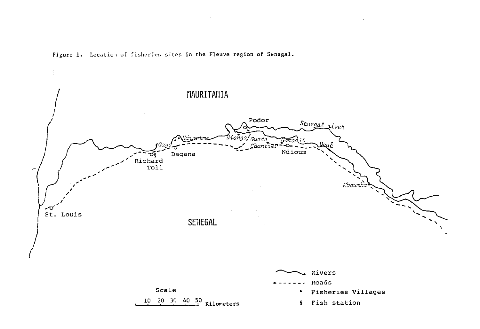

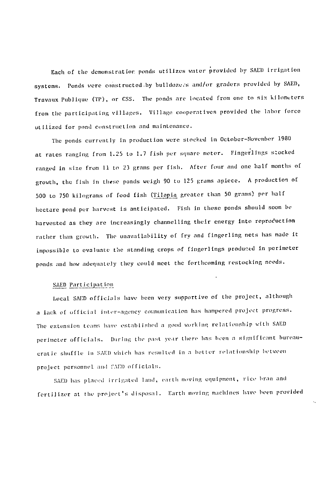Each of the demonstratior ponds utilizes water provided by SAED irrigation systems. Ponds were constructed by bulldozers and/or graders provided by SAED, Travaux Publique (TP), or CSS. The ponds are located from one to six kilometers from the participating villages. Village cooperatives provided the labor force utilized for pond contruction and maintenance.

The ponds currently In production were stocked in October-November 1980 at rates ranging from 1.25 to 1.7 fish per square meter. Fingerlings socked ranged in size from 11 to 23 grams per fish. After four and one half months of growth, the fish in these ponds weigh 90 to 125 grams apiece. A production of 500 to 750 kilograms of food fish (Tilapia greater than 50 grams) per half hectare pond per harvest is anticipated. Fish in these ponds should soon be harvested as they are increasingly channelling their energy into reproduction rather than growth. The unavailability of fry and fingerling nets has made it impossible to evaluate the standing crops of fingerlings produced in perimeter ponds and how adequately they could meet tihe forthcoming restocking needs.

#### **SAED** Particlpot **ion**

Local SAED officials have been very supportive of the project, although a lack of official inter-agency communication has hampered project progress. The extension teams have established a good working relationship with SAED perimeter officials. During the past year there has been a significant bureaucrat *ic* shuffle in SAID which has resulttd in **a** better r lationship hetween project personnel and fAED officials.

SAED has placed irrigated land, earth moving equipment, rice bran and fertilizer at the project's disposal. Earth moving machines have been provided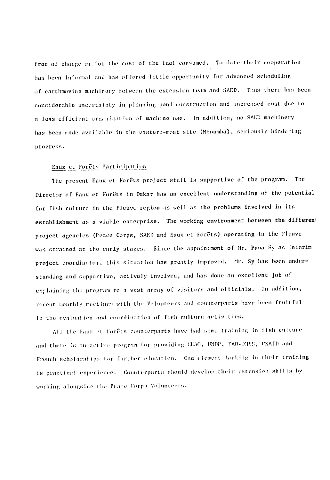free of charge or for the Cust of the fuel consumed. To date their cooperat *ion*  has been informal and has offered little opportunity for advanced scheduling of earthmoving machinery between the extension team and SAED. Thus there has been considerable uncertainty **in** planning pond construction and increased cost due to a less efficient organization of machine use. In addition, no SAED machinery has been made available in the eastern-most site (Mhoumba), seriously hindering progress.

## $Eaux$  et Forêts Participation

The present Eaux et Forcts project staff is supportive of the program. The Director of Eaux et Forêts in Dakar has an excellent understanding of the potential for fish culture in the Fleuve region as well as the problems involved in its establishment as a viable enterprise. The working environment between the differeni project agencies (Peace Corps, **SAlI)** and Eaux **et** Forgts) operating In the Fleive was strained at the early stages. Since the appointment **of** Mr. Pava **Sy** as interim project coordinator, this situation has greatly Improved. Mr. Sy has been understanding and supportive, actively involved, and has done an excellent **job of** explaining the program to a vast array of visitors and officials. In addition, recent monthly meetings with the Volunteers and counterparts have been fruitful In the evaluat ion and coordin ation **of** fish ulture activities.

All the Eaux et Forêts counterparts have had some training in fish culture and there is an active program for providing CEAO, UNDP, FAO-CIVS, USAID and French scholarships for further education. One element lacking in their training is practical experience. Counterparts should develop their extension skills by working alongside the Peace Corps Volunteers.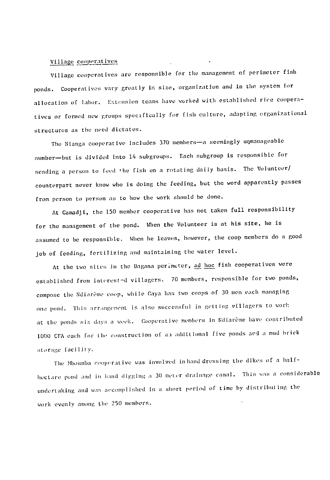# **Villay\_** cooperat **[ves**

Village cooperatives are responsible for the management of perimeter fish ponds. Cooperatives vary greatly in size, organization and in **the** system for allocation of labor. Extension teams have worked with established rice cooperatives or formed new groups specifically for fish culture, adapting organizational structures as the need dictates.

The Nianga cooperative includes 370 members-a seemingly unmanageable number-but is divided into 14 subgroups. Each subgroup is responsible for sending a person to feed the fish on a rotating daily basis. The Volunteer/ counterpart never know who is doing the feeding, but the word apparently passes from person to person as to how the work should **be** done.

At Gamadji, the **150** member cooperative has not taken full responsibility for the management of the pond. When the Volunteer is at his site, he is assumed to be responsible. When he leaves, however, the coop members do a good **job** of feeding, fertilizing and maintaining the water level.

At the two sites in the Dagana perimeter, <u>ad hoc</u> fish cooperatives were established from interested villagers. 70 members, responsible for two ponds, compose the Ndiarème coop, while Gaya has two coops of 30 men each managing one pond. This arrangement is also successful in getting villagers to work at the ponds six days a week. Cooperative members in Ndiarème h<mark>av</mark>e contributed 1000 CFA each for the construction of an additional five ponds ard a mud brick storage facility.

**coolr' rative was** involved inhand dressing **the** *dikes* **of a haif-The Mbolnuba**  hectare pond and in hand digging a **30** meter drainage canal. This was a considerable undertaking and was accomplished in a short period of time by distributing the work evenly among **the 250** members.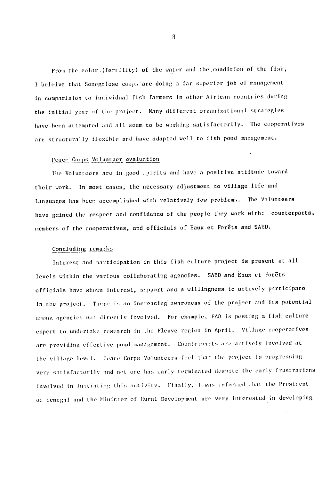From the color. (fertility) of the water and the condition of the fish, *<sup>I</sup>*heleive that Senegalese cuops are doing a far superior job of management in comparision to individual fish farmers in other African countries during the initial year of *the* project. Many different organizational strategies have been attempted and all seem to be working satisfactorily. The cuoperatives are structurally flexible and have adapted well to fish pond management.

# Pace Corps Vol unteer evaluation

The Volunteers are in good . pirits and have a positive attitude toward their work. In most cases, the necessary adjustment to village **life** and languages has beer accomplished with relatively few problems. The Volunteers have gained the respect and confidence of the people they work with: count<mark>erparts</mark> members of the cooperatives, and officials of Eaux et Forêts and SAED.

### Concluding remarks

Interest and participation in this fish culture project is present at all levels within the various collaborating agencies. SAED and Eaux et Forêts officials have shown interest, szpport and a willingness to actively participate in the project. There is an increasing awareness of the project and its potential among agencies not directly involved. For example, FAO is posting a fish culture expert to undertake research in the Fleuve region in April. Village cooperatives are providing effective pond management. Counterparts are actively involved at the village level. Peace Corps Volunteers feel that the project is progressing very satisfactorily and not one has early terminated despite the early frustrations involved in initiating this activity. Finally, I was informed that the President of Senegal and the Minister of Rural Development are very interested in developing

 $\overline{9}$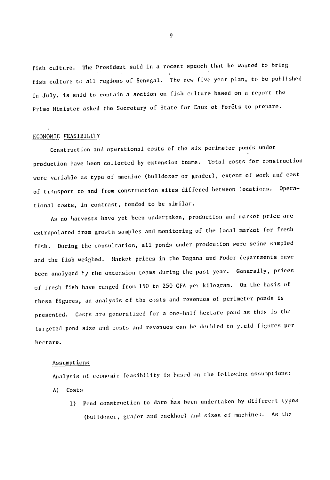fish culture. The President said in a recent speech that he wanted to bring fish culture to all regions of Senegal. The new five year plan, to be published in July, is said to contain a section on fish culture based on a report the Prime Minister asked the Secretary of State for Eaux et Forêts to prepare.

#### ECONOMIC FEASIBILITY

Construction and operational costs of the six perimeter ponds under production have been collected by extension teams. Total costs for construction were variable as type of machine (bulldozer or grader), extent of work and cost of transport to and from construction sites differed between locations. Operational costs, in contrast, tended to be similar.

As no harvests have yet been undertaken, production and market price are extrapolated from growth samples and monitoring of the local market for fresh fish. During the consultation, all ponds under prodcution were seine sampled and the fish weighed. Market prices in the Dagana and Podor departments have been analyzed ty the extension teams during the past year. Generally, prices of rresh fish have ranged from 150 to 250 CFA per kilogram. On the basis  $\circ$ these figures, an analysis of the costs and revenues of perimeter ponds is presented. Costs are generalized for a one-half hectare pond as this is the targeted pond size and costs and revenues can be doubled to yield figures per hectare.

#### Assumpt ions

Analysis of economic feasibility is based on the following assumptions:

- A) Costs
	- 1) Pond construction to date has been undertaken by different types (bulldozer, grader and backhoe) and sizes of machines. As the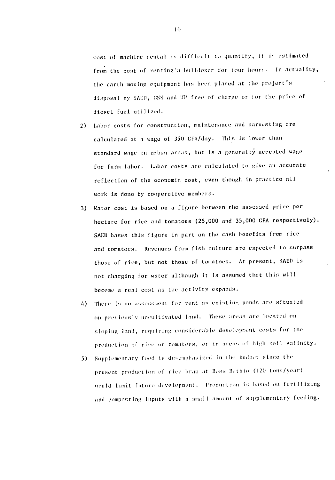cost of machine rental is difficult **to** quantify, It **in** estimated from the cost of renting'a bulldozer for four hours. In actuality, the earth moving equipment has been placed at the project's dis;posal by SAED, **CSS** and TI free *of* charge or *for* the price of diesel. fuel utilized.

- 2) Labor costs for construction, maintenance and harvesting are calculated at a wage of 350 CFA/day. This is lower Lhan standard wage in urban areas, but is a generally accepted wage for farm labor. Labor costs are calculated to give an accurate reflection **of** the economic cost, even though in practice all work is done **by** cooperative members.
- **3)** Water cost is based on a figure between the assessed price per hectare for rice and tomatoes **(25,000** and **35,000 CFA** respectively). SAED bases this figure in part on the cash benefits from rice and tomatoes. Revenues from fish culture are expected to surpass those of rice, but not those of tomatoes. At present, **SAED** is not charging for water although it is assumed that this will become a real cost as the activity expands.
- 4) There is no assessment for rent as existing ponds are situated on previously uncultivated land. These areas are located on sloping land, requiring considerable development costs for the *prod t.ion* of rile or *tomat-oe.t , or in* arta *of* **higl** soil salliity.
- 5) Supplementary food is de-emphasized in the budget since the present production of rice bran at Ross Bethio (120 tons/year) *'uould limit future development.* Production *is based on fertilizing* and composting inputs with a small amount of supplementary feeding.

**If)**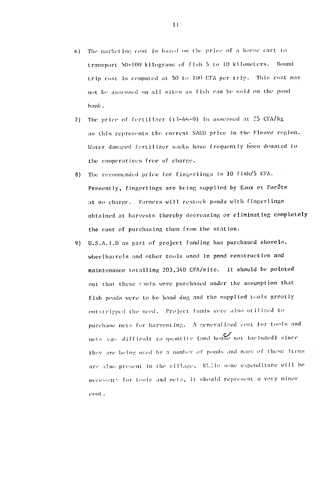- 6) The marketing cost is based on the price of a horse cart to transport 50-100 kilograms of fish 5 to 10 kilometers. Round trip cost is computed at 50 to 100 CFA per trip. This cost may not be assessed on all sites as fish can be sold on the pond bank.
- 7) The price of fertilizer (13-46-0) is assessed at 25 CFA/kg as this represents the current SAED price in the Fleuve region. Water damaged fertilizer sacks have frequently been donated to the cooperatives free of charne.
- The recommended price for fingerlings is 10 fish/5 CFA. 8) Presently, fingerlings are being supplied by Eaux et Forêts at no charge. Farmers will restock ponds with fingerlings obtained at harvests thereby decreasing or eliminating completely the cost of purchasing them from the station.
- 9) U.S.A.I.D as part of project funding has purchased shovels. wheelbarrels and other tools used in pond construction and maintenance totalling 203,340 CFA/site. It should be pointed out that these fools were purchased under the assumption that fish ponds were to be hand dug and the supplied tools greatly outstripped the need. Project funds were also utilized to purchase nets for harvesting. A generalized cost for tools and nets vas difficult to quantity (and hense not included) since they are being used by a number of ponds and many of these items are also present in the village. While some expenditure will be necessary for tools and nets, it should represent a very minor cost.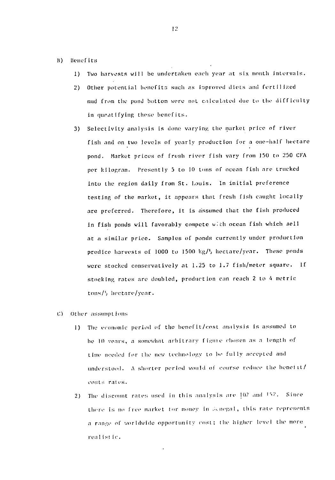- B) Benef its
	- 1) Two harvests will be undertaken each year at six month intervals.
	- 2) Other potential benefits such as improved diets and fertilized mud from the pond bottom were not calculated due to the difficulty in quantifying these benefits.
	- 3) Selectivity analysis is done varying the market price of river fish and on two levels of yearly production for a one-half hectare pond. Market prices **of** fresh river fish vary from **150 to 250 CFA**  per kilogram. Presently 5 to 10 tons of ocean fish are trucked Into the region daily from St. Louis. In initial preference testing of the market, it appears that fresh fish caught locally are preferred. Therefore, it is assumed that the fish produced in fish ponds will favorably compete with ocean fish which sell at a similar price. Samples of ponds currently under production predice harvests of 1000 to 1500  $kg/l$ , hectare/year. These ponds **were** stocked conservatively at **1.25** to **1.7** fish/meter square. **If**  stocking rates are doubled, production can reach 2 to 4 metric tons/h hectare/year.
- **C)** Other assumptions
	- **1)** The *economic* period **of** the henefit/cost analysis is assumed to *he* In veal-s, a somewhat arbitrary **fi** *'Te chosten* as *a* length of time needed for the *nnew technology* to *ho* fully accepted *and*  understood. A shorter period would of course reduce the benefit/ costs rates.
	- 2) The discount rates used in this analysis are  $10^{\gamma}$  and  $15^{\gamma}$ . Since there is no free market for money in *i*dnegal, this rate represents <sup>a</sup>*rangt* of worlidwie opportunity *vinst; the* higher *level* the *more rea* list *ic.*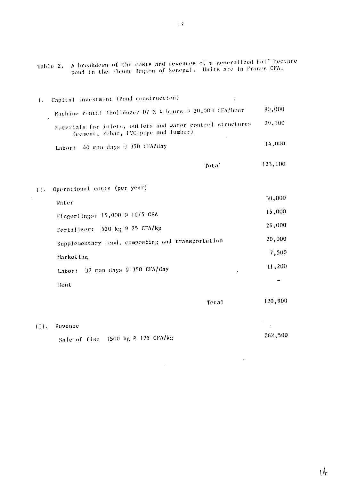|     | A breakdown of the costs and revenues of a generalized half hectare<br>Table 2.<br>pond in the Fleuve Region of Senegal. Units are in Francs CFA. |         |
|-----|---------------------------------------------------------------------------------------------------------------------------------------------------|---------|
| Ι.  | Capital investment (Pond construction)                                                                                                            |         |
|     | Machine rental (bulldozer D7 X 4 hours 9 20,000 CFA/hour                                                                                          | 80,000  |
|     | Materials for inlets, outlets and water control structures<br>(cement, rebar, PVC pipe and lumber)                                                | 29,100  |
|     | 40 man days 0 350 CFA/day<br>Labor:                                                                                                               | 14,000  |
|     | Total                                                                                                                                             | 123,100 |
| II. | Operational costs (per year)                                                                                                                      |         |
|     | Water                                                                                                                                             | 30,000  |
|     | Fingerlings: 15,000 @ 10/5 CFA                                                                                                                    | 15,000  |
|     | 520 kg @ 25 CFA/kg<br>Fertilizer:                                                                                                                 | 26,000  |
|     | Supplementary food, composting and transportation                                                                                                 | 20,000  |
|     | Marketing                                                                                                                                         | 7,500   |
|     | 32 man days @ 350 CFA/day<br>Labor:                                                                                                               | 11,200  |
|     | Rent                                                                                                                                              |         |
|     | Total                                                                                                                                             | 120,900 |
|     |                                                                                                                                                   |         |

# HI. Revenue

Sale of fish 1500 kg @ 175 CFA/kg

262,500

 $\mathcal{L}^{\text{max}}_{\text{max}}$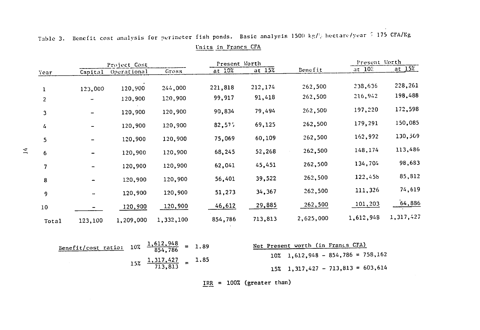|                |         | Project Cost |           | Present Worth |           |           |                   | Present Worth |  |  |
|----------------|---------|--------------|-----------|---------------|-----------|-----------|-------------------|---------------|--|--|
| Year           | Capital | Operational  | Gross     | at $10%$      | at $15\%$ | Benefit   | $at$ $10^\circ$ . | at $15%$      |  |  |
| 1              | 123,000 | 120,900      | 244,000   | 221,818       | 212,174   | 262,500   | 238,636           | 228,261       |  |  |
| $\overline{2}$ |         | 120,900      | 120,900   | 99,917        | 91,418    | 262,500   | 216,942           | 198,488       |  |  |
| 3              |         | 120,900      | 120,900   | 90,834        | 79,494    | 262,500   | 197,220           | 172,598       |  |  |
| 4              |         | 120,900      | 120,900   | 82,575        | 69,125    | 262,500   | 179,291           | 150,085       |  |  |
| 5              |         | 120,900      | 120,900   | 75,069        | 60,109    | 262,500   | 162,992           | 130,509       |  |  |
| 6              |         | 120,900      | 120,900   | 68,245        | 52,268    | 262,500   | 148,174           | 113,486       |  |  |
| 7              |         | 120,900      | 120,900   | 62,041        | 45,451    | 262,500   | 134,704           | 98,683        |  |  |
| 8              |         | 120,900      | 120,900   | 56,401        | 39,522    | 262,500   | 122,455           | 85,812        |  |  |
| 9              |         | 120,900      | 120,900   | 51,273        | 34,367    | 262,500   | 111,326           | 74,619        |  |  |
| 10             |         | 120,900      | 120,900   | 46,612        | 29,885    | 262,500   | 101,203           | 64,886        |  |  |
| Total          | 123,100 | 1,209,000    | 1,332,100 | 854,786       | 713,813   | 2,625,000 | 1,612,948         | 1,317,427     |  |  |
|                |         |              | 1 419 BLO |               |           |           |                   |               |  |  |

|  |  | Table 3. Benefit cost analysis for perimeter fish ponds. Basic analysis 1500 kg/2 hectare/year $\pm$ 175 CFA/Kg |                     |  |  |  |  |  |
|--|--|-----------------------------------------------------------------------------------------------------------------|---------------------|--|--|--|--|--|
|  |  |                                                                                                                 | Units in Francs CFA |  |  |  |  |  |

| <u>Benefit/cost ratio:</u> $10\% \frac{1,612,948}{854,786} = 1.89$ |                                           |  | Net Present worth (in Francs CFA)        |  |
|--------------------------------------------------------------------|-------------------------------------------|--|------------------------------------------|--|
|                                                                    |                                           |  | $10\%$ 1,612,948 - 854,786 = 758,162     |  |
|                                                                    | $15\%$ $\frac{1,317,427}{713,813}$ = 1.85 |  | $15\%$ 1, 317, 427 - 713, 813 = 603, 614 |  |

IRR = 100% (greater than)

 $\mathbb{R}$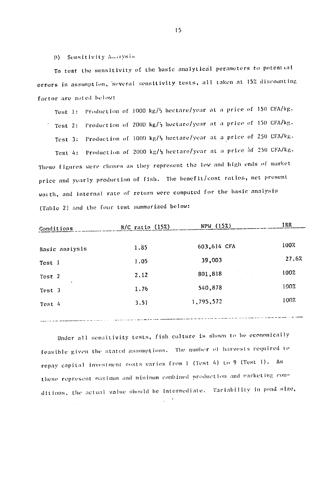D) Sensitivity Amorysis

To test the sensitivity of the basic analytical perameters to potential errors in assumption, several sensitivity tests, all taken at 15% discounting factor are noted below:

Test 1: Production of 1000 kg/<sup>}</sup> hectare/year at a price of 150 CFA/kg. Production of 2000 kg/2 hectare/year at a price of 150 CFA/kg. Test 2: Test 3: Production of 1000 kg/<sup>1</sup> hectare/year at a price of 250 CFA/kg. Test 4: Production of 2000 kg/} hectare/year at a price of 250 CFA/kg. These figures were choses as they represent the low and high ends of market price and yearly production of fish. The benefit/cost ratios, net present worth, and internal rate of return were computed for the basic analysis (Table 2) and the four test summarized below:

| Conditions          | $B/C$ ratio $(15%)$ | NPW (15%)                                                                                                       | IRR   |
|---------------------|---------------------|-----------------------------------------------------------------------------------------------------------------|-------|
| Basic analysis      | 1.85                | 603,614 CFA                                                                                                     | 100%  |
| Test 1              | 1.05                | 39,003                                                                                                          | 27.6% |
| Test 2              | 2.12                | 801,818                                                                                                         | 100%  |
| $\bullet$<br>Test 3 | 1.76                | 540,878                                                                                                         | 100%  |
| Test 4              | 3.51                | 1,795,572                                                                                                       | 100%  |
|                     |                     | and the company's company's company's company's the company's company's company's company's company's company's |       |

Under all sensitivity tests, fish culture is shown to be economically feasible given the stated assumptions. The number of harvests required to repay capital investment costs varies from 1 (Test 4) to 9 (Test 1). As these represent maximum and minimum combined production and marketing conditions, the actual value should be intermediate. Variability in pond size,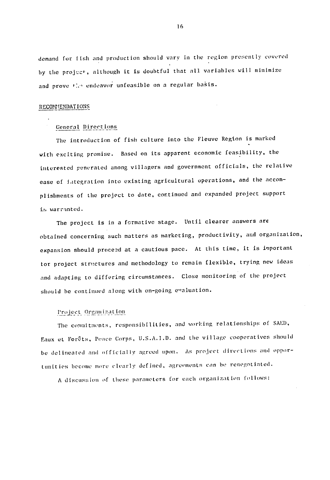demand for Lish and production should vary in the region presently covered by the projec<sup>t</sup>, although it is doubtful that all variables will minimize and prove *the endeavor* unfeasible on a regular basis.

#### **RECOMMhENDAT** IONS

## General Direct ions

The introduction of fish culture into the Fleuve Region is marked with exciting promise. Based on its apparent economic feasibility, the interested generated among villagers and government officials, the relative ease of Jategration into existing agricultural operations, and the accomplishments of the project to date, continued and expanded project support i, warranted.

The project is in a formative stage. Until clearer answers are obtained concerning such matters as marketing, productivity, and organization, expansion should proceed at a cautious pace. At this time, it is important tor project structures and methodology to remain flexible, trying new ideas and adapting to differing circumstances. Close monitoring of the project should **be** continued along with on-going e"aluation.

#### *I'I t.* **Or.** iaztion

The commitmnts, responsibilities, and working relationships of **SAED,**  Eaux et Forêts, Peace Corps, U.S.A.I.D. and the village cooperatives should be delineated and officially agreed upon. As project directions and oppor unities become more clearly defined, agreements can *be* renegotiated.

A discussion of these parameters for each organization follows: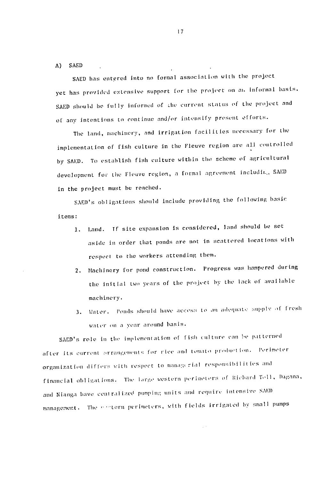**A) SAED** 

SAED has entered into no formal association with the project yet has provided extensive support for the project on an informal basis. SAED should be fully informed of the current status of the project and of any intentions to continue and/or intensify present efforts.

The land, machinery, and irrigation facilities necessary for the implementation of fish culture in the Fleuve region are all controlled by SAED. To establish fish culture within the scheme of agricultural development for the Fleuve region, a formal agreement includit., SAED in the project must **he** reached.

SAED's obligations should include providing the following basic items:

- 1. Land. If site expansion is considered, land should be set aside in order that ponds are not in scattered locations with respect to the workers attending them.
- 2. Machinery **for** pond construction. Progress was hampered during the initial two years of the project by the lack of available machinery.
- Ponls should have ace'ss; to **a"** adlerilat.c **:umliiv of** fresh 3. Water. water on a year around basis.

SAED's role in the implementation of fish culture can be patterned after its current orrangements for rice and tomato production. Perimete orgai zation **i <sup>f</sup>***Qr* with respect **to** managt ri;al rvsponil **I**i it *iUs* and *financial obligations.* The large western perimeters of Richard Toll, Dagana, and Nianga have centralized pumping units and require intensive SAED management. The extern perimeters, with fields irrigated by small pumps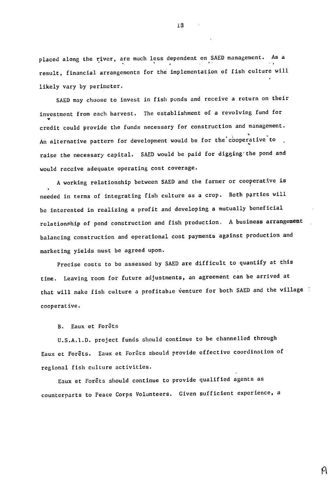placed along the river, are much less dependent on SAED management. As a result, financial arrangements for the implementation of fish culture will likely vary by perimeter.

SAED may choose to invest in fish ponds and receive a return on their investment from each harvest. The establishment of a revolving fund for credit could provide the funds necessary for construction and management. An alternative pattern for development would be for the cooperative to raise the necessary capital. SAED would be paid for digging the pond and would receive adequate operating cost coverage.

A working relationship between SAED and the farmer or cooperative is needed in terms of integrating fish culture as a crop. Both parties will be interested in realizing a profit and developing a mutually beneficial relationship of pond construction and fish production. A business arrangement balancing construction and operational cost payments against production and marketing yields must be agreed upon.

Precise costs to be assessed by SAED are difficult to quantify at this time. Leaving room for future adjustments, an agreement can be arrived at that will make fish culture a profitabie venture for both SAED and the village cooperative.

B. Eaux et ForCts

U.S.A.1.D. project funds should continue to be channelled through Eaux et Forêts. Eaux et Forêts should provide effective coordination of regional fish culture activities.

Eaux et Forêts should continue to provide qualified agents as counterparts to Peace Corps Volunteers. Given sufficient experience, a

A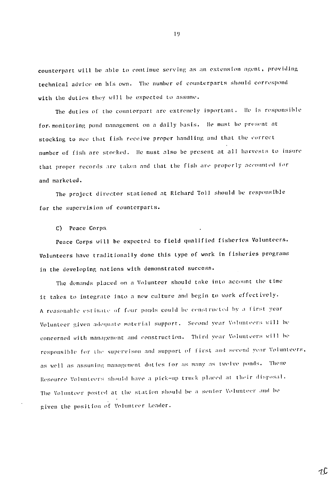counterpart will he **able Lo** continue serving as an extension agent. providing technical advice on *Iis* own. The number of counterparts should correspond with the duties they will **he** expected to assume.

The duties of the counterpart are extremely important. lie is *responsible*  for monitoring pond management on a daily basis. He must be present at stocking to see that f ish receive proper handling and Lhat **the** vorrect number of fish are stocked. lie must also **be** present at all harvests to insure that proper records are taken and that the fish are properly accounted for and marketed.

The project director stationed at Richard Toll should be responsible for the supervision of counterparts.

**C)** Peace Corps.

Peace Corps will be expected to field qualified fisheries Volunteers. Volunteers have traditionally done this **type** of work in fisheries **programs**  in the developing nations with demonstrated success.

The demands placed on a Volunteer should take into account the time it takes to integrate into a new culture and begin to work effectively. A reasonable estimate of four ponds could be constructed by a first year Volunteer given adequate material support. Second year *Volunteers* will be concerned with management and construction. Third year Volunteers will be  $\mathbf r$ esponsible for the supervison and support of first and second year Volunteers as well as assuming management duties for as many as twelve ponds. Thes**e** Resource Volunteers should have a pick-up truck placed at their disposal. The Volunteer posted at the station should be a senior Volunteer and be given **the** ImsLlon of *Volunlteer* Leader.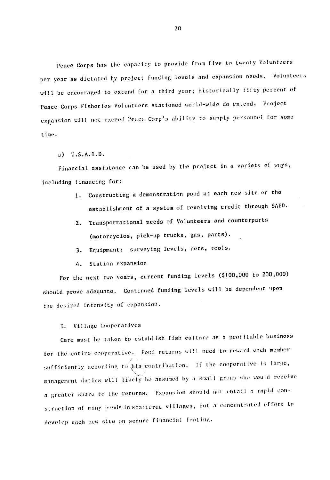Peace Corps has the capacity to provide from five to twenty Volunteers per year as dictated by project funding levels and expansion needs. Volunteei will be encouraged to extend for a third year; historically fifty percent of Peace Corps Fisheries Volunteers stationed world-wide do extend. Project expansion will not exceed Peace Corp's ability to supply personnel for some time.

**D) U.S.A.l.D.** 

Financial assistance can be used **by** the project in a variety of ways, including financing for:

- 1. Constructing a demonstration pond at each new site or the establishment of a system of revolving credit through SAED.
- 2. Transportational needs of Volunteers and counterparts (motorcycles, pick-up trucks, gas, parts).
- **3.** Equipment: surveying levels, nets, tools.
- 4. Station expansion

(\$100,000 to 200,000) For the next two years, current funding levels should prove adequate. Continued funding levels will be dependent 'pon the desired intensity of expansion.

## E. Village Cooperatives

Care must be taken to establish fish culture as a profitable business for the entire cooperative. Pond returns wi!I need to reward each member sufficiently according to his contribution. If the cooperative is large, management duties will likely be assumed by a small group who would receive a greater share to the returns. Expansion should not entail a rapid construction of many poods in-scattered villages, but a concentrated effort to develop each new site on secure financial footing.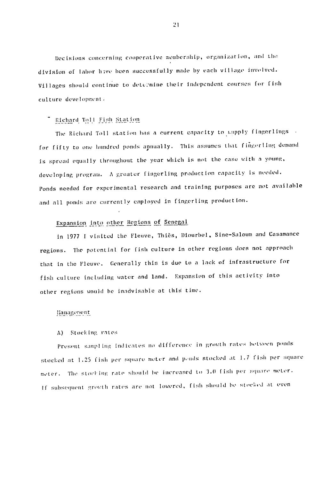Decisions concerning cooperative membership, organization, and the division of labor have been successfully made by each village involved. Villages should continue to determine their independent courses for fish culture development.

### Richard Toll Fish Station

The Richard Toll station has a current capacity to supply fingerlings for fifty to one hundred ponds annually. This assumes that fingerling demand is spread equally throughout the year which is not the case with a youn developing program. A greater fingerling production capacity is *needed.*  Ponds needed for experimental research and training purposes are not available and all ponds are currently employed in fingerling production.

## Expansion into other Regions of Senegal

in 1977 I visited the Fleuve, Thiès, Diourbel, Sine-Saloum and Casamance regions. The potential for fish culture in other regions does not approach that in the Fleuve. Generally this is due to a lack of infrastructure for fish culture including water and land. Expansion of this activity Into other regions would be inadvisable at this time.

# lanae een t

#### A) Stocking rates

Present sampling indicates no difference in growth rates between ponds stocked at 1.25 fish per square meter and ponds stocked at 1.7 fish per square meter. The stocking rate should be in<mark>creased to 3.0 fis</mark>h per square meter. If subsequent growth rates are not lowered, fish should be stocked at <mark>even</mark>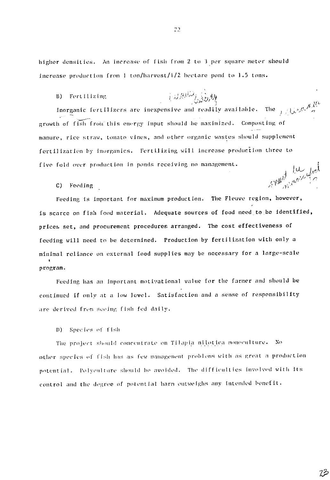higher densities. An increase of fish from 2 to 3 per square meter should increase production from 1 ton/harvest/1/2 hectare pond to 1.5 tons.

Mode Julian B) Fertilizing

Inorganic fertilizers are inexpensive and readily available. The growth of fish from this energy input should be maximized. Composting of manure, rice straw, tomato vines, and other organic wastes should supplement fertilization by inorganics. Fertilizing will increase production three to five fold over production in ponds receiving no management. tu lut

C) Feeding

Feeding is important for maximum production. The Fleuve region, however, is scarce on fish food material. Adequate sources of food need to be identified, prices set, and procurement procedures arranged. The cost effectiveness of feeding will need to be determined. Production by fertilization with only a minimal reliance on external food supplies may be necessary for a large-scale program.

Feeding has an important motivational value for the farmer and should be continued if only at a low level. Satisfaction and a sense of responsibility are derived from seeing fish fed daily.

D) Species of fish

The project should concentrate on Tilapia nilotica monoculture. No other species of fish has as few management problems with as great a production potential. Polyculture should be avoided. The difficulties involved with its control and the degree of potential harm outweighs any intended benefit.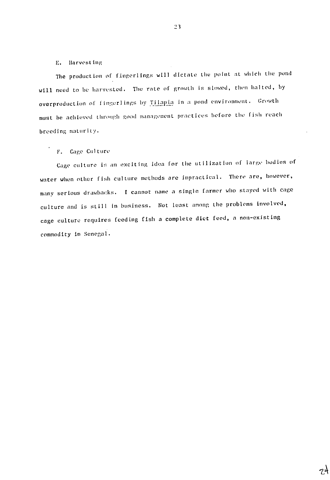### **E.**  Harvesting

The production of fingerlings will dictate the point at which the pond will need to **be** harvested. The rate **of** growth is slowed, then halted, **by**  overproduction of fingerlings by Tilapia in a pond environment. Growth must be achieved through good management practices before the fish reach breeding maturity.

### F. Cage Culture

Cage culture **is** an exciting idea for the utilization of large bodies of water when other fish culture methods are impractical. There are, however, many serious drawbacks. **I** cannot name a single farmer who stayed with cage culture and is still in business. Not least among the problems involved, cage culture requires feeding fish a complete diet feed, a non-existing commodity in Senegal.

 $7<sup>\lambda</sup>$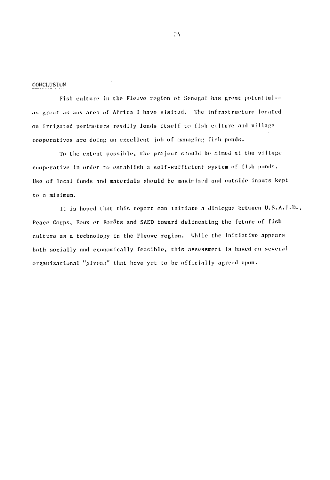#### CONCLUSION

Fish culture in the Fleuve region of Senegal has great potential- $$ as great as any area of Africa I have visited. The infrastructure located on Irrigated perimeters readily lends itself to fish culture and village cooperatives are doing an excellent job of managing fish ponds.

To the extent possible, **the** project should be aimed at the village cooperative in order to establish a self-sufficient system **of** fish ponds. Use of local funds and materials should be maximized and outside inputs kept to **a** minimum.

It is hoped that this report can initiate a dialogue between U.S.A.I.D., Peace Corps, Eaux et Forêts and SAED toward delineating the future of fish culture as a technology in the Fleuve region. While the Initiative appears both socially and economically feasible, this assessment is based on several organizational "glvens" that have yet to be officially agreed upon.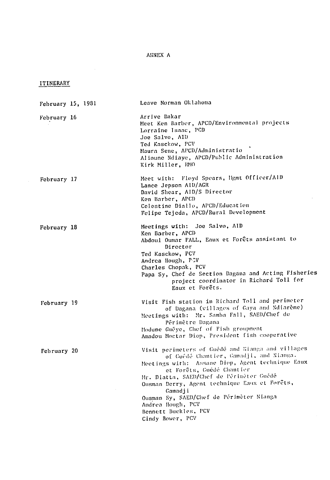# **ANNEX A**

# ITINERARY

| February 15, 1981 |  | Leave Norman Oklahoma                                                                                                                                                                                                                                                                                                                                                                              |
|-------------------|--|----------------------------------------------------------------------------------------------------------------------------------------------------------------------------------------------------------------------------------------------------------------------------------------------------------------------------------------------------------------------------------------------------|
| February 16       |  | Arrive Dakar<br>Meet Ken Barber, APCD/Environmental projects<br>Lorraine Isaac, PCD<br>Joe Salvo, AID<br>Ted Kasckow, PCV<br>Maura Sene, APCD/Administratio<br>Alioune Ndiaye, APCD/Public Administration<br>Kirk Miller, RMO                                                                                                                                                                      |
| February 17       |  | Meet with: Floyd Spears, Hgmt Officer/AlD<br>Lance Jepson AID/AGR<br>David Shear, AID/S Director<br>Ken Barber, APCD<br>Celestine Diallo, APCD/Education<br>Felipe Tejeda, APCD/Rural Development                                                                                                                                                                                                  |
| February 18       |  | Meetings with: Joe Salvo, AID<br>Ken Barber, APCD<br>Abdoul Oumar FALL, Eaux et Forêts assistant to<br>Director<br>Ted Kasckow, PCV<br>Andrea Hough, PCV<br>Charles Chopak, PCV<br>Papa Sy, Chef de Section Dagana and Acting Fisheries<br>project coordinator in Richard Toll for<br>Eaux et Forêts.                                                                                              |
| February 19       |  | Visit Fish station in Richard Toll and perimeter<br>of Dagana (villages of Gaya and Ndiarème)<br>Meetings with: Mr. Samba Fall, SAED/Chef de<br>Périmètre Dagana<br>Hodune Guéye, Chef of Fish groupment<br>Amadou Moctar Diop, President fish cooperative                                                                                                                                         |
| February 20       |  | Visit perimeters of Guede and Nianga and villages<br>of Guédé Chantier, Gamadji, and Nianga.<br>Meetings with: Assane Diop, Agent technique Eaux<br>et Forêts, Guédé Chantier<br>Mr. Diatta, SAED/Chef de Périmèter Guédé<br>Ousman Derry, Agent technique Eaux et Forêts,<br>Gamadji<br>Ousman Sy, SAED/Chef de Périmèter Nianga<br>Andrea Hough, PCV<br>Bennett Buckles, PCV<br>Cindy Bower, PCV |